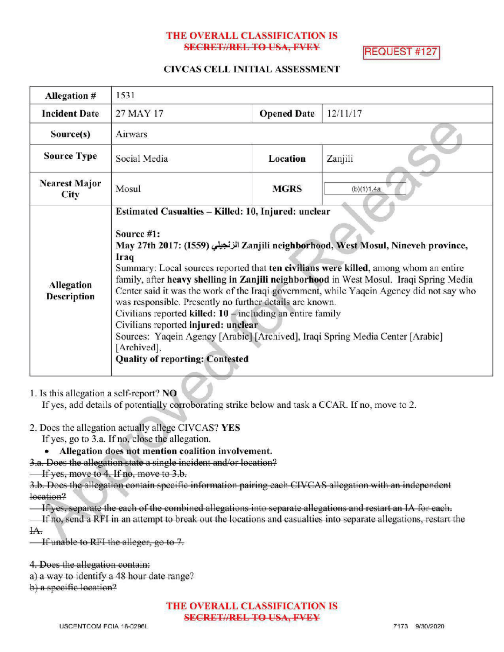### THE OVERALL CLASSIFICATION IS **SECRET//REL TO USA, FVEY**

REQUEST #127

## CIVCAS CELL INITIAL ASSESSMENT

| Allegation #                            | 1531                                                                                                                                                                                                                                                                                                                                                                                                                                                                                                                                                                                                                                                                                                                                                        |                    |            |
|-----------------------------------------|-------------------------------------------------------------------------------------------------------------------------------------------------------------------------------------------------------------------------------------------------------------------------------------------------------------------------------------------------------------------------------------------------------------------------------------------------------------------------------------------------------------------------------------------------------------------------------------------------------------------------------------------------------------------------------------------------------------------------------------------------------------|--------------------|------------|
| <b>Incident Date</b>                    | 27 MAY 17                                                                                                                                                                                                                                                                                                                                                                                                                                                                                                                                                                                                                                                                                                                                                   | <b>Opened Date</b> | 12/11/17   |
| Source(s)                               | Airwars                                                                                                                                                                                                                                                                                                                                                                                                                                                                                                                                                                                                                                                                                                                                                     |                    |            |
| <b>Source Type</b>                      | Social Media                                                                                                                                                                                                                                                                                                                                                                                                                                                                                                                                                                                                                                                                                                                                                | Location           | Zanjili    |
| <b>Nearest Major</b><br><b>City</b>     | Mosul                                                                                                                                                                                                                                                                                                                                                                                                                                                                                                                                                                                                                                                                                                                                                       | <b>MGRS</b>        | (b)(1)1.4a |
| <b>Allegation</b><br><b>Description</b> | Estimated Casualties - Killed: 10, Injured: unclear<br>Source #1:<br>May 27th 2017: (1559) الزنجيلي Zanjili neighborhood, West Mosul, Nineveh province,<br>Iraq<br>Summary: Local sources reported that ten civilians were killed, among whom an entire<br>family, after heavy shelling in Zanjili neighborhood in West Mosul. Iraqi Spring Media<br>Center said it was the work of the Iraqi government, while Yaqein Agency did not say who<br>was responsible. Presently no further details are known.<br>Civilians reported killed: $10 -$ including an entire family<br>Civilians reported injured: unclear<br>Sources: Yaqein Agency [Arabic] [Archived], Iraqi Spring Media Center [Arabic]<br>[Archived],<br><b>Quality of reporting: Contested</b> |                    |            |

1. Is this allegation a self-report? NO

If yes, add details of potentially corroborating strike below and task a CCAR. If no, move to 2.

2. Does the allegation actually allege CIVCAS? YES

If yes, go to 3.a. If no, close the allegation.<br>• Allegation does not mention coalition

Allegation does not mention coalition involvement.

3.a. Does the allegation state a single incident and/or location?

If yes, move to 4. If no, move to  $3.b.$ 

3.b. Does the allegation contain specific information pairing each CIVCAS allegation with an independent location?

 $\overline{1}$  If yes, separate the each of the combined allegations into separate allegations and restart an IA for each.

If no, send a RFI in an attempt to break out the locations and casualties into separate allegations, restart the  $IA.$ 

If unable to RFI the alleger, go to  $7$ .

4. Does the allegation contain:

a) a way to identify a 48 hour date range?

b) a specific location?

THE OVERALL CLASSIFICATION IS **SECRET//REL TO USA, FVEY**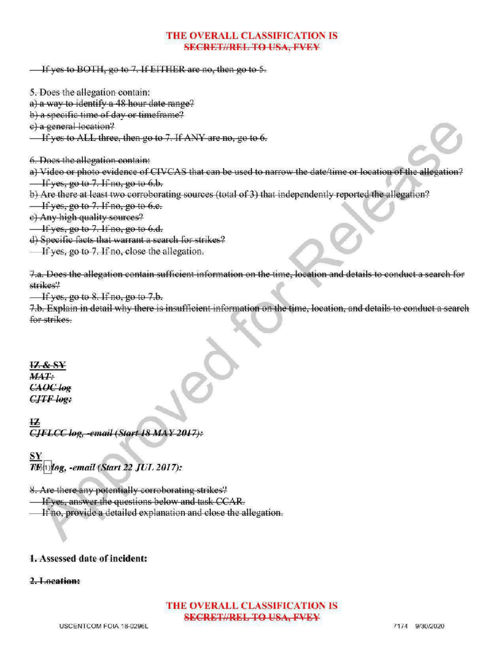# THE OVERALL CLASSIFICATION IS **SECRET//REL TO USA, FVEY**

If yes to BOTH, go to 7. If EITHER are no, then go to 5.

5.Does the allegation contain :

a) a way to identify a 48 hour date range?

b) a specific time of day or timeframe?

e) a general location?

 $\frac{1}{\sqrt{1 + \frac{1}{\sqrt{1 + \frac{1}{\sqrt{1 + \frac{1}{\sqrt{1 + \frac{1}{\sqrt{1 + \frac{1}{\sqrt{1 + \frac{1}{\sqrt{1 + \frac{1}{\sqrt{1 + \frac{1}{\sqrt{1 + \frac{1}{\sqrt{1 + \frac{1}{\sqrt{1 + \frac{1}{\sqrt{1 + \frac{1}{\sqrt{1 + \frac{1}{\sqrt{1 + \frac{1}{\sqrt{1 + \frac{1}{\sqrt{1 + \frac{1}{\sqrt{1 + \frac{1}{\sqrt{1 + \frac{1}{\sqrt{1 + \frac{1}{\sqrt{1 + \frac{1}{\sqrt{1 + \frac{1}{\sqrt{1 +$ 

6.Does the allegation contain :

a) Video or photo evidence of CIVCAS that can be used to narrow the date/time or location of the allegation? If yes, go to 7. If no, go to 6.b.

b) Are there at least two corroborating sources (total of 3) that independently reported the allegation?

 $\overline{\text{If yes, go to 7. If no, go to 6.6.}}$ 

e) Any high quality sources?

 $\frac{1}{2}$  if yes, go to 7. If no, go to 6.d.

d) Specific facts that warrant a search for strikes?

If yes, go to 7. If no, close the allegation.

7.a. Does the allegation contain sufficient information on the time, location and details to conduct <sup>a</sup> search for strikes?

If yes, go to  $8$ . If no, go to  $7.b$ .

7.b. Explain in detail why there is insufficient information on the time, location, and details to conduct a search for strikes

# IZ & <sup>S</sup>  $MAT:$ CAOC log  $CJTF$  log:

₩ **CJFLCC** log, -email (Start 18 MAY 2017):

 $_{\mathbf{S}\mathbf{Y}}$  $\overline{10}$ leg, -email (Start 22 JUL 2017):

8. Are there any potentially corroborating strikes?

**If yes, answer the questions below and task CCAR.** 

If no, provide a detailed explanation and close the allegation.

1.Assessed date of incident:

# 2.Location:

# THE OVERALL CLASSIFICATION IS SECRET//REL TO USA, FVEY